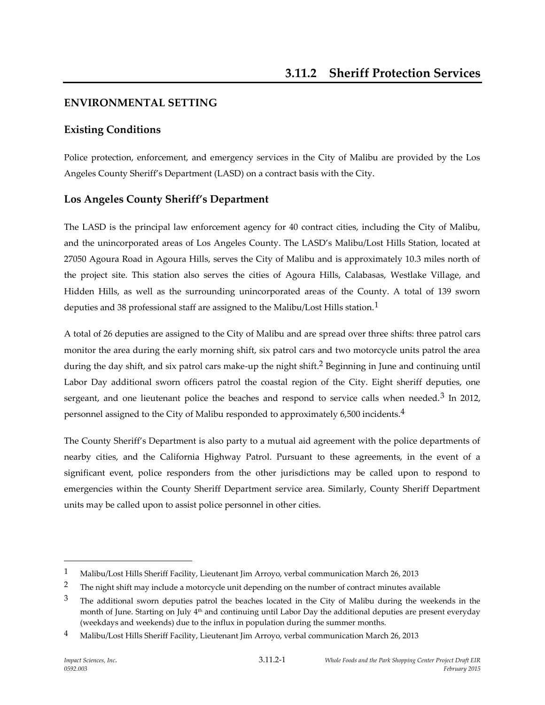# **ENVIRONMENTAL SETTING**

# **Existing Conditions**

Police protection, enforcement, and emergency services in the City of Malibu are provided by the Los Angeles County Sheriff's Department (LASD) on a contract basis with the City.

# **Los Angeles County Sheriff's Department**

The LASD is the principal law enforcement agency for 40 contract cities, including the City of Malibu, and the unincorporated areas of Los Angeles County. The LASD's Malibu/Lost Hills Station, located at 27050 Agoura Road in Agoura Hills, serves the City of Malibu and is approximately 10.3 miles north of the project site. This station also serves the cities of Agoura Hills, Calabasas, Westlake Village, and Hidden Hills, as well as the surrounding unincorporated areas of the County. A total of 139 sworn deputies and 38 professional staff are assigned to the Malibu/Lost Hills station.<sup>1</sup>

A total of 26 deputies are assigned to the City of Malibu and are spread over three shifts: three patrol cars monitor the area during the early morning shift, six patrol cars and two motorcycle units patrol the area during the day shift, and six patrol cars make-up the night shift. 2 Beginning in June and continuing until Labor Day additional sworn officers patrol the coastal region of the City. Eight sheriff deputies, one sergeant, and one lieutenant police the beaches and respond to service calls when needed.<sup>3</sup> In 2012, personnel assigned to the City of Malibu responded to approximately 6,500 incidents.4

The County Sheriff's Department is also party to a mutual aid agreement with the police departments of nearby cities, and the California Highway Patrol. Pursuant to these agreements, in the event of a significant event, police responders from the other jurisdictions may be called upon to respond to emergencies within the County Sheriff Department service area. Similarly, County Sheriff Department units may be called upon to assist police personnel in other cities.

 $\overline{a}$ 

<sup>1</sup> Malibu/Lost Hills Sheriff Facility, Lieutenant Jim Arroyo, verbal communication March 26, 2013

<sup>&</sup>lt;sup>2</sup> The night shift may include a motorcycle unit depending on the number of contract minutes available

 $3$  The additional sworn deputies patrol the beaches located in the City of Malibu during the weekends in the month of June. Starting on July 4<sup>th</sup> and continuing until Labor Day the additional deputies are present everyday (weekdays and weekends) due to the influx in population during the summer months.

<sup>&</sup>lt;sup>4</sup> Malibu/Lost Hills Sheriff Facility, Lieutenant Jim Arroyo, verbal communication March 26, 2013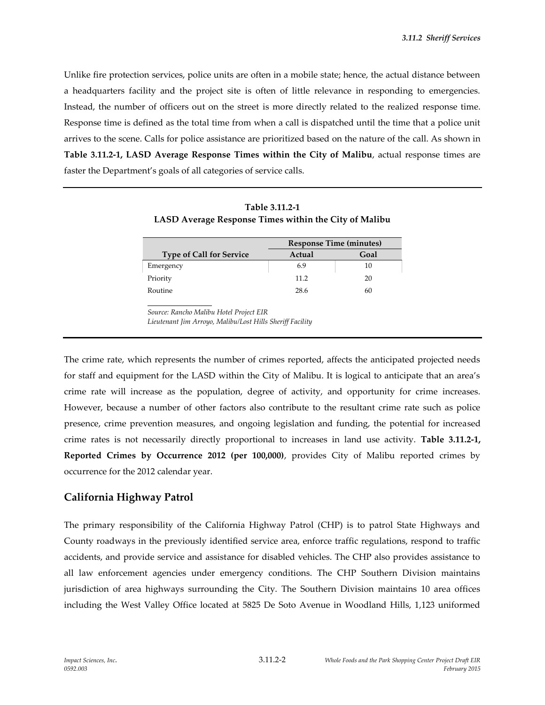Unlike fire protection services, police units are often in a mobile state; hence, the actual distance between a headquarters facility and the project site is often of little relevance in responding to emergencies. Instead, the number of officers out on the street is more directly related to the realized response time. Response time is defined as the total time from when a call is dispatched until the time that a police unit arrives to the scene. Calls for police assistance are prioritized based on the nature of the call. As shown in **Table 3.11.2-1, LASD Average Response Times within the City of Malibu**, actual response times are faster the Department's goals of all categories of service calls.

|                                 | <b>Response Time (minutes)</b> |      |
|---------------------------------|--------------------------------|------|
| <b>Type of Call for Service</b> | Actual                         | Goal |
| Emergency                       | 6.9                            | 10   |
| Priority                        | 11.2                           | 20   |
| Routine                         | 28.6                           | 60   |

| Table 3.11.2-1                                        |
|-------------------------------------------------------|
| LASD Average Response Times within the City of Malibu |

*Source: Rancho Malibu Hotel Project EIR Lieutenant Jim Arroyo, Malibu/Lost Hills Sheriff Facility*

The crime rate, which represents the number of crimes reported, affects the anticipated projected needs for staff and equipment for the LASD within the City of Malibu. It is logical to anticipate that an area's crime rate will increase as the population, degree of activity, and opportunity for crime increases. However, because a number of other factors also contribute to the resultant crime rate such as police presence, crime prevention measures, and ongoing legislation and funding, the potential for increased crime rates is not necessarily directly proportional to increases in land use activity. **Table 3.11.2-1, Reported Crimes by Occurrence 2012 (per 100,000)**, provides City of Malibu reported crimes by occurrence for the 2012 calendar year.

### **California Highway Patrol**

The primary responsibility of the California Highway Patrol (CHP) is to patrol State Highways and County roadways in the previously identified service area, enforce traffic regulations, respond to traffic accidents, and provide service and assistance for disabled vehicles. The CHP also provides assistance to all law enforcement agencies under emergency conditions. The CHP Southern Division maintains jurisdiction of area highways surrounding the City. The Southern Division maintains 10 area offices including the West Valley Office located at 5825 De Soto Avenue in Woodland Hills, 1,123 uniformed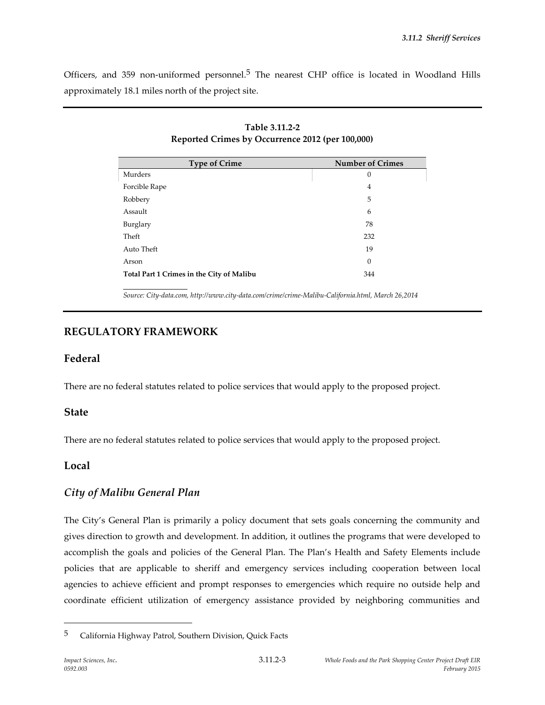Officers, and 359 non-uniformed personnel.<sup>5</sup> The nearest CHP office is located in Woodland Hills approximately 18.1 miles north of the project site.

> **Table 3.11.2-2 Reported Crimes by Occurrence 2012 (per 100,000)**

| <b>Type of Crime</b>                      | <b>Number of Crimes</b> |
|-------------------------------------------|-------------------------|
| Murders                                   | 0                       |
| Forcible Rape                             | 4                       |
| Robbery                                   | 5                       |
| Assault                                   | 6                       |
| Burglary                                  | 78                      |
| Theft                                     | 232                     |
| Auto Theft                                | 19                      |
| Arson                                     | $\theta$                |
| Total Part 1 Crimes in the City of Malibu | 344                     |
|                                           |                         |

*Source: City-data.com, http://www.city-data.com/crime/crime-Malibu-California.html, March 26,2014*

# **REGULATORY FRAMEWORK**

### **Federal**

There are no federal statutes related to police services that would apply to the proposed project.

#### **State**

There are no federal statutes related to police services that would apply to the proposed project.

### **Local**

# *City of Malibu General Plan*

The City's General Plan is primarily a policy document that sets goals concerning the community and gives direction to growth and development. In addition, it outlines the programs that were developed to accomplish the goals and policies of the General Plan. The Plan's Health and Safety Elements include policies that are applicable to sheriff and emergency services including cooperation between local agencies to achieve efficient and prompt responses to emergencies which require no outside help and coordinate efficient utilization of emergency assistance provided by neighboring communities and

 $\overline{a}$ 

<sup>5</sup> California Highway Patrol, Southern Division, Quick Facts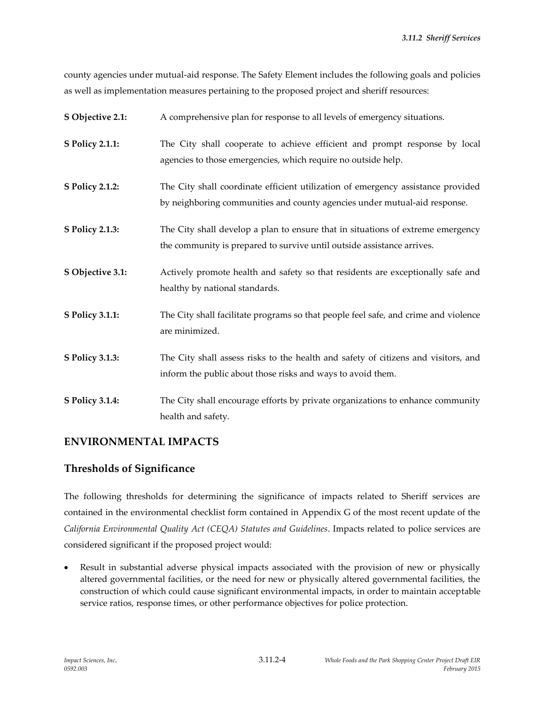county agencies under mutual-aid response. The Safety Element includes the following goals and policies as well as implementation measures pertaining to the proposed project and sheriff resources:

| S Objective 2.1:       | A comprehensive plan for response to all levels of emergency situations.                                                                                      |
|------------------------|---------------------------------------------------------------------------------------------------------------------------------------------------------------|
| <b>S Policy 2.1.1:</b> | The City shall cooperate to achieve efficient and prompt response by local<br>agencies to those emergencies, which require no outside help.                   |
| <b>S Policy 2.1.2:</b> | The City shall coordinate efficient utilization of emergency assistance provided<br>by neighboring communities and county agencies under mutual-aid response. |
| <b>S Policy 2.1.3:</b> | The City shall develop a plan to ensure that in situations of extreme emergency<br>the community is prepared to survive until outside assistance arrives.     |
| S Objective 3.1:       | Actively promote health and safety so that residents are exceptionally safe and<br>healthy by national standards.                                             |
| <b>S Policy 3.1.1:</b> | The City shall facilitate programs so that people feel safe, and crime and violence<br>are minimized.                                                         |
| <b>S Policy 3.1.3:</b> | The City shall assess risks to the health and safety of citizens and visitors, and<br>inform the public about those risks and ways to avoid them.             |
| <b>S Policy 3.1.4:</b> | The City shall encourage efforts by private organizations to enhance community<br>health and safety.                                                          |

# **ENVIRONMENTAL IMPACTS**

# **Thresholds of Significance**

The following thresholds for determining the significance of impacts related to Sheriff services are contained in the environmental checklist form contained in Appendix G of the most recent update of the *California Environmental Quality Act (CEQA) Statutes and Guidelines*. Impacts related to police services are considered significant if the proposed project would:

 Result in substantial adverse physical impacts associated with the provision of new or physically altered governmental facilities, or the need for new or physically altered governmental facilities, the construction of which could cause significant environmental impacts, in order to maintain acceptable service ratios, response times, or other performance objectives for police protection.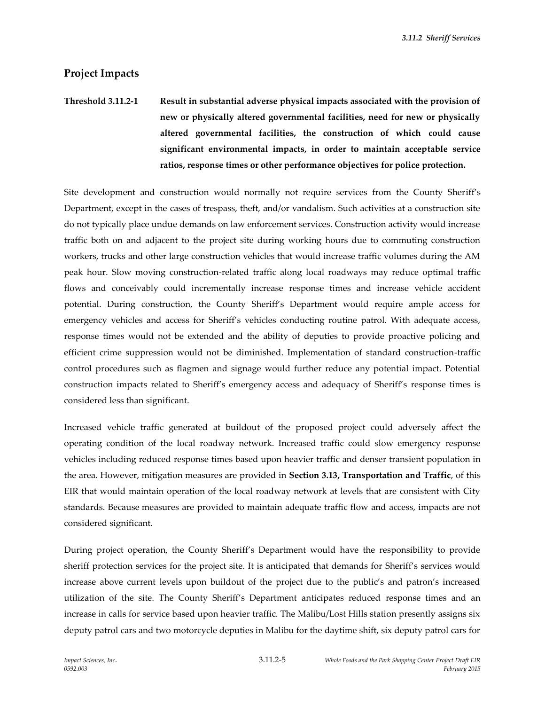*3.11.2 Sheriff Services*

### **Project Impacts**

# **Threshold 3.11.2-1 Result in substantial adverse physical impacts associated with the provision of new or physically altered governmental facilities, need for new or physically altered governmental facilities, the construction of which could cause significant environmental impacts, in order to maintain acceptable service ratios, response times or other performance objectives for police protection.**

Site development and construction would normally not require services from the County Sheriff's Department, except in the cases of trespass, theft, and/or vandalism. Such activities at a construction site do not typically place undue demands on law enforcement services. Construction activity would increase traffic both on and adjacent to the project site during working hours due to commuting construction workers, trucks and other large construction vehicles that would increase traffic volumes during the AM peak hour. Slow moving construction-related traffic along local roadways may reduce optimal traffic flows and conceivably could incrementally increase response times and increase vehicle accident potential. During construction, the County Sheriff's Department would require ample access for emergency vehicles and access for Sheriff's vehicles conducting routine patrol. With adequate access, response times would not be extended and the ability of deputies to provide proactive policing and efficient crime suppression would not be diminished. Implementation of standard construction-traffic control procedures such as flagmen and signage would further reduce any potential impact. Potential construction impacts related to Sheriff's emergency access and adequacy of Sheriff's response times is considered less than significant.

Increased vehicle traffic generated at buildout of the proposed project could adversely affect the operating condition of the local roadway network. Increased traffic could slow emergency response vehicles including reduced response times based upon heavier traffic and denser transient population in the area. However, mitigation measures are provided in **Section 3.13, Transportation and Traffic**, of this EIR that would maintain operation of the local roadway network at levels that are consistent with City standards. Because measures are provided to maintain adequate traffic flow and access, impacts are not considered significant.

During project operation, the County Sheriff's Department would have the responsibility to provide sheriff protection services for the project site. It is anticipated that demands for Sheriff's services would increase above current levels upon buildout of the project due to the public's and patron's increased utilization of the site. The County Sheriff's Department anticipates reduced response times and an increase in calls for service based upon heavier traffic. The Malibu/Lost Hills station presently assigns six deputy patrol cars and two motorcycle deputies in Malibu for the daytime shift, six deputy patrol cars for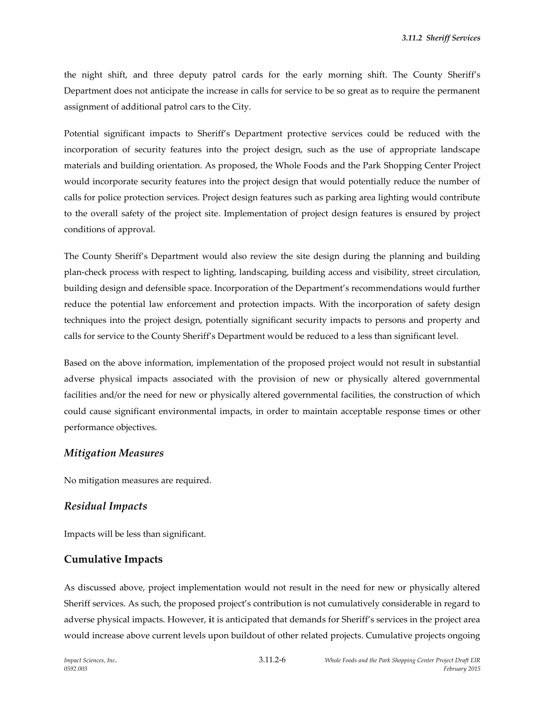the night shift, and three deputy patrol cards for the early morning shift. The County Sheriff's Department does not anticipate the increase in calls for service to be so great as to require the permanent assignment of additional patrol cars to the City.

Potential significant impacts to Sheriff's Department protective services could be reduced with the incorporation of security features into the project design, such as the use of appropriate landscape materials and building orientation. As proposed, the Whole Foods and the Park Shopping Center Project would incorporate security features into the project design that would potentially reduce the number of calls for police protection services. Project design features such as parking area lighting would contribute to the overall safety of the project site. Implementation of project design features is ensured by project conditions of approval.

The County Sheriff's Department would also review the site design during the planning and building plan-check process with respect to lighting, landscaping, building access and visibility, street circulation, building design and defensible space. Incorporation of the Department's recommendations would further reduce the potential law enforcement and protection impacts. With the incorporation of safety design techniques into the project design, potentially significant security impacts to persons and property and calls for service to the County Sheriff's Department would be reduced to a less than significant level.

Based on the above information, implementation of the proposed project would not result in substantial adverse physical impacts associated with the provision of new or physically altered governmental facilities and/or the need for new or physically altered governmental facilities, the construction of which could cause significant environmental impacts, in order to maintain acceptable response times or other performance objectives.

#### *Mitigation Measures*

No mitigation measures are required.

#### *Residual Impacts*

Impacts will be less than significant.

#### **Cumulative Impacts**

As discussed above, project implementation would not result in the need for new or physically altered Sheriff services. As such, the proposed project's contribution is not cumulatively considerable in regard to adverse physical impacts. However, **i**t is anticipated that demands for Sheriff's services in the project area would increase above current levels upon buildout of other related projects. Cumulative projects ongoing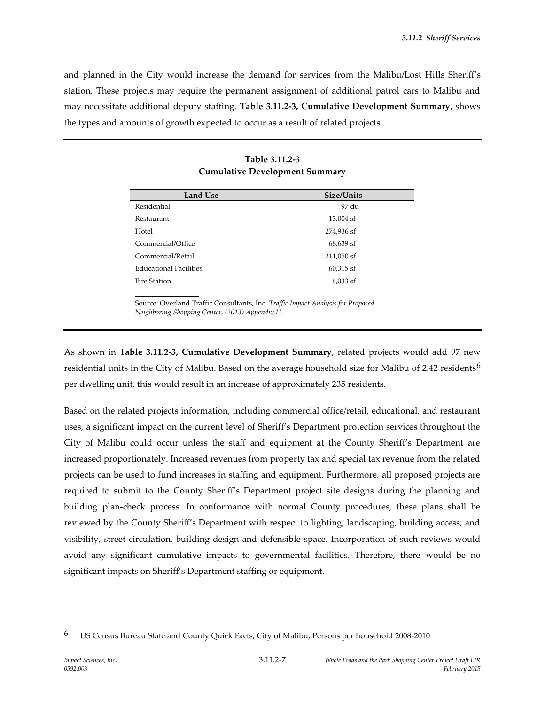and planned in the City would increase the demand for services from the Malibu/Lost Hills Sheriff's station. These projects may require the permanent assignment of additional patrol cars to Malibu and may necessitate additional deputy staffing. **Table 3.11.2-3, Cumulative Development Summary**, shows the types and amounts of growth expected to occur as a result of related projects.

| Size/Units  |
|-------------|
| 97 du       |
| 13,004 sf   |
| 274,936 sf  |
| 68,639 sf   |
| 211,050 sf  |
| $60,315$ sf |
| $6,033$ sf  |
|             |

### **Table 3.11.2-3 Cumulative Development Summary**

Source: Overland Traffic Consultants, Inc. *Traffic Impact Analysis for Proposed Neighboring Shopping Center, (2013) Appendix H.*

As shown in T**able 3.11.2-3, Cumulative Development Summary**, related projects would add 97 new residential units in the City of Malibu. Based on the average household size for Malibu of 2.42 residents<sup>6</sup> per dwelling unit, this would result in an increase of approximately 235 residents.

Based on the related projects information, including commercial office/retail, educational, and restaurant uses, a significant impact on the current level of Sheriff's Department protection services throughout the City of Malibu could occur unless the staff and equipment at the County Sheriff's Department are increased proportionately. Increased revenues from property tax and special tax revenue from the related projects can be used to fund increases in staffing and equipment. Furthermore, all proposed projects are required to submit to the County Sheriff's Department project site designs during the planning and building plan-check process. In conformance with normal County procedures, these plans shall be reviewed by the County Sheriff's Department with respect to lighting, landscaping, building access, and visibility, street circulation, building design and defensible space. Incorporation of such reviews would avoid any significant cumulative impacts to governmental facilities. Therefore, there would be no significant impacts on Sheriff's Department staffing or equipment.

 $\overline{a}$ 

<sup>6</sup> US Census Bureau State and County Quick Facts, City of Malibu, Persons per household 2008-2010